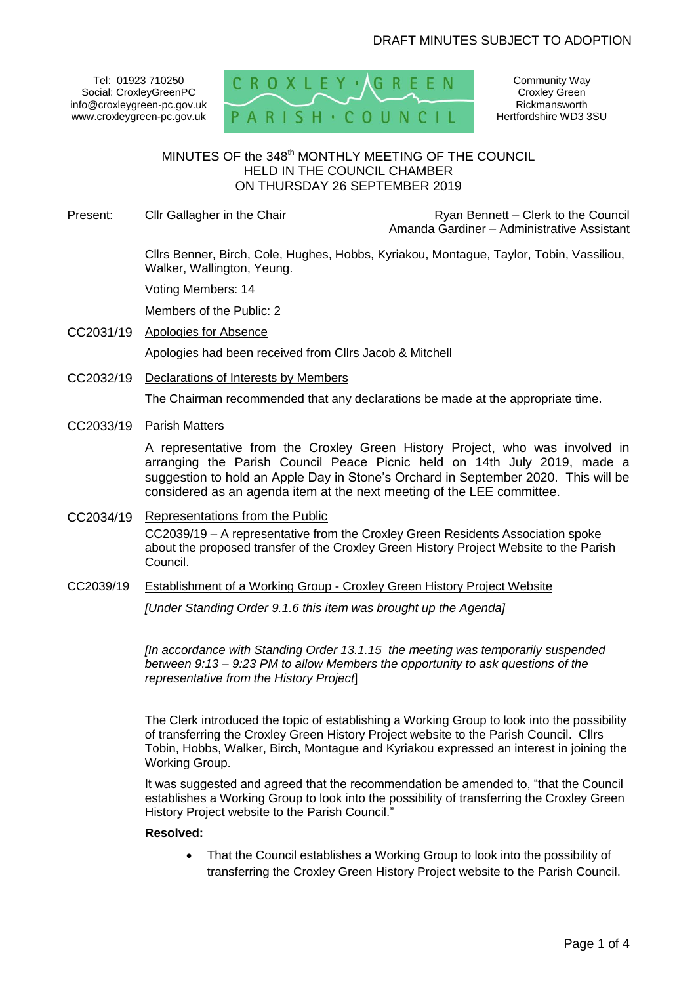Tel: 01923 710250 Social: CroxleyGreenPC info@croxleygreen-pc.gov.uk www.croxleygreen-pc.gov.uk



Community Way Croxley Green Rickmansworth Hertfordshire WD3 3SU

# MINUTES OF the 348<sup>th</sup> MONTHLY MEETING OF THE COUNCIL HELD IN THE COUNCIL CHAMBER ON THURSDAY 26 SEPTEMBER 2019

Present: Cllr Gallagher in the Chair **Ryan Bennett** – Clerk to the Council Amanda Gardiner – Administrative Assistant

> Cllrs Benner, Birch, Cole, Hughes, Hobbs, Kyriakou, Montague, Taylor, Tobin, Vassiliou, Walker, Wallington, Yeung.

Voting Members: 14

Members of the Public: 2

CC2031/19 Apologies for Absence

Apologies had been received from Cllrs Jacob & Mitchell

CC2032/19 Declarations of Interests by Members

The Chairman recommended that any declarations be made at the appropriate time.

CC2033/19 Parish Matters

A representative from the Croxley Green History Project, who was involved in arranging the Parish Council Peace Picnic held on 14th July 2019, made a suggestion to hold an Apple Day in Stone's Orchard in September 2020. This will be considered as an agenda item at the next meeting of the LEE committee.

- CC2034/19 Representations from the Public CC2039/19 – A representative from the Croxley Green Residents Association spoke about the proposed transfer of the Croxley Green History Project Website to the Parish Council.
- CC2039/19 Establishment of a Working Group Croxley Green History Project Website

*[Under Standing Order 9.1.6 this item was brought up the Agenda]*

*[In accordance with Standing Order 13.1.15 the meeting was temporarily suspended between 9:13 – 9:23 PM to allow Members the opportunity to ask questions of the representative from the History Project*]

The Clerk introduced the topic of establishing a Working Group to look into the possibility of transferring the Croxley Green History Project website to the Parish Council. Cllrs Tobin, Hobbs, Walker, Birch, Montague and Kyriakou expressed an interest in joining the Working Group.

It was suggested and agreed that the recommendation be amended to, "that the Council establishes a Working Group to look into the possibility of transferring the Croxley Green History Project website to the Parish Council."

# **Resolved:**

 That the Council establishes a Working Group to look into the possibility of transferring the Croxley Green History Project website to the Parish Council.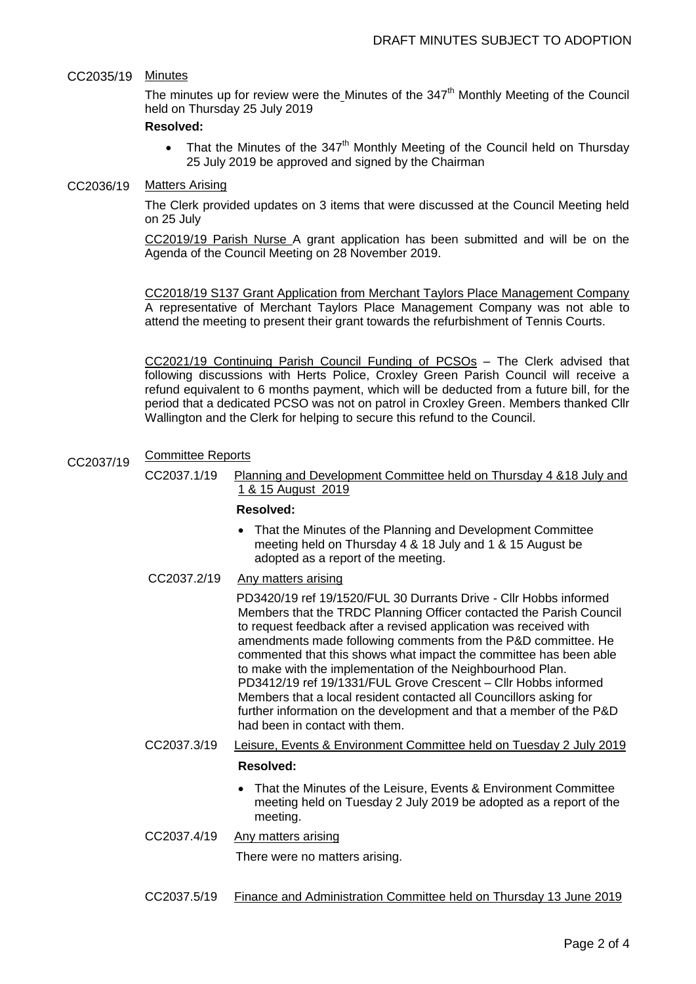# CC2035/19 Minutes

The minutes up for review were the Minutes of the 347<sup>th</sup> Monthly Meeting of the Council held on Thursday 25 July 2019

#### **Resolved:**

• That the Minutes of the  $347<sup>th</sup>$  Monthly Meeting of the Council held on Thursday 25 July 2019 be approved and signed by the Chairman

### CC2036/19 Matters Arising

The Clerk provided updates on 3 items that were discussed at the Council Meeting held on 25 July

CC2019/19 Parish Nurse A grant application has been submitted and will be on the Agenda of the Council Meeting on 28 November 2019.

CC2018/19 S137 Grant Application from Merchant Taylors Place Management Company A representative of Merchant Taylors Place Management Company was not able to attend the meeting to present their grant towards the refurbishment of Tennis Courts.

CC2021/19 Continuing Parish Council Funding of PCSOs – The Clerk advised that following discussions with Herts Police, Croxley Green Parish Council will receive a refund equivalent to 6 months payment, which will be deducted from a future bill, for the period that a dedicated PCSO was not on patrol in Croxley Green. Members thanked Cllr Wallington and the Clerk for helping to secure this refund to the Council.

#### CC2037/19 Committee Reports

CC2037.1/19 Planning and Development Committee held on Thursday 4 &18 July and 1 & 15 August 2019

# **Resolved:**

 That the Minutes of the Planning and Development Committee meeting held on Thursday 4 & 18 July and 1 & 15 August be adopted as a report of the meeting.

# CC2037.2/19 Any matters arising

 PD3420/19 ref 19/1520/FUL 30 Durrants Drive - Cllr Hobbs informed Members that the TRDC Planning Officer contacted the Parish Council to request feedback after a revised application was received with amendments made following comments from the P&D committee. He commented that this shows what impact the committee has been able to make with the implementation of the Neighbourhood Plan. PD3412/19 ref 19/1331/FUL Grove Crescent – Cllr Hobbs informed Members that a local resident contacted all Councillors asking for further information on the development and that a member of the P&D had been in contact with them.

CC2037.3/19 Leisure, Events & Environment Committee held on Tuesday 2 July 2019

#### **Resolved:**

- That the Minutes of the Leisure, Events & Environment Committee meeting held on Tuesday 2 July 2019 be adopted as a report of the meeting.
- CC2037.4/19 Any matters arising There were no matters arising.
- CC2037.5/19 Finance and Administration Committee held on Thursday 13 June 2019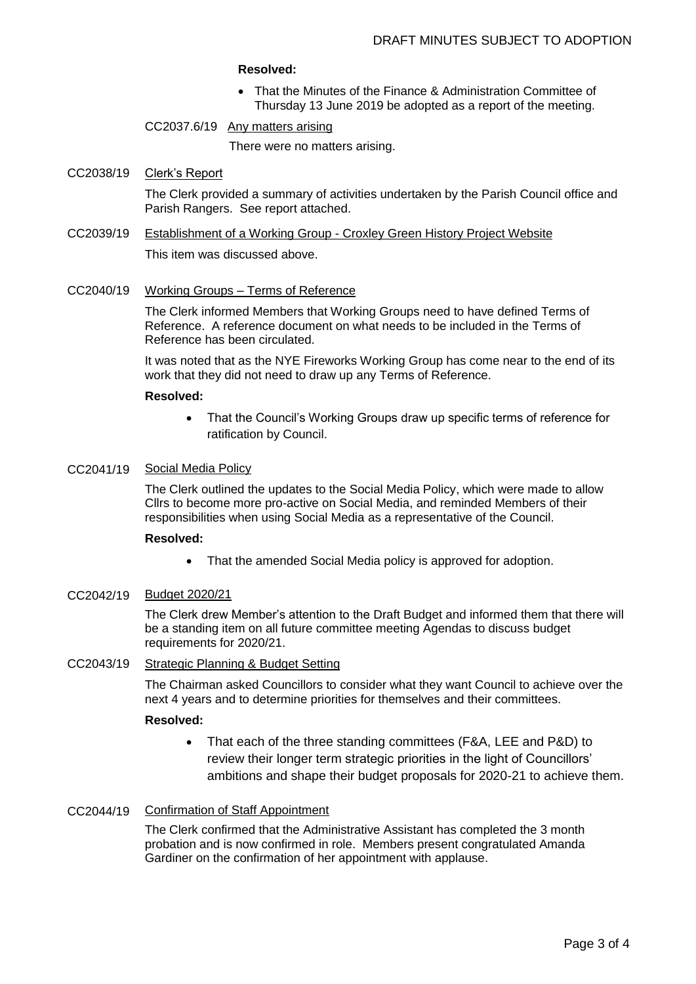#### **Resolved:**

- That the Minutes of the Finance & Administration Committee of Thursday 13 June 2019 be adopted as a report of the meeting.
- CC2037.6/19 Any matters arising

There were no matters arising.

### CC2038/19 Clerk's Report

The Clerk provided a summary of activities undertaken by the Parish Council office and Parish Rangers. See report attached.

CC2039/19 Establishment of a Working Group - Croxley Green History Project Website

This item was discussed above.

CC2040/19 Working Groups – Terms of Reference

The Clerk informed Members that Working Groups need to have defined Terms of Reference. A reference document on what needs to be included in the Terms of Reference has been circulated.

It was noted that as the NYE Fireworks Working Group has come near to the end of its work that they did not need to draw up any Terms of Reference.

#### **Resolved:**

• That the Council's Working Groups draw up specific terms of reference for ratification by Council.

### CC2041/19 Social Media Policy

The Clerk outlined the updates to the Social Media Policy, which were made to allow Cllrs to become more pro-active on Social Media, and reminded Members of their responsibilities when using Social Media as a representative of the Council.

#### **Resolved:**

• That the amended Social Media policy is approved for adoption.

#### CC2042/19 Budget 2020/21

The Clerk drew Member's attention to the Draft Budget and informed them that there will be a standing item on all future committee meeting Agendas to discuss budget requirements for 2020/21.

# CC2043/19 Strategic Planning & Budget Setting

The Chairman asked Councillors to consider what they want Council to achieve over the next 4 years and to determine priorities for themselves and their committees.

#### **Resolved:**

• That each of the three standing committees (F&A, LEE and P&D) to review their longer term strategic priorities in the light of Councillors' ambitions and shape their budget proposals for 2020-21 to achieve them.

# CC2044/19 Confirmation of Staff Appointment

The Clerk confirmed that the Administrative Assistant has completed the 3 month probation and is now confirmed in role. Members present congratulated Amanda Gardiner on the confirmation of her appointment with applause.